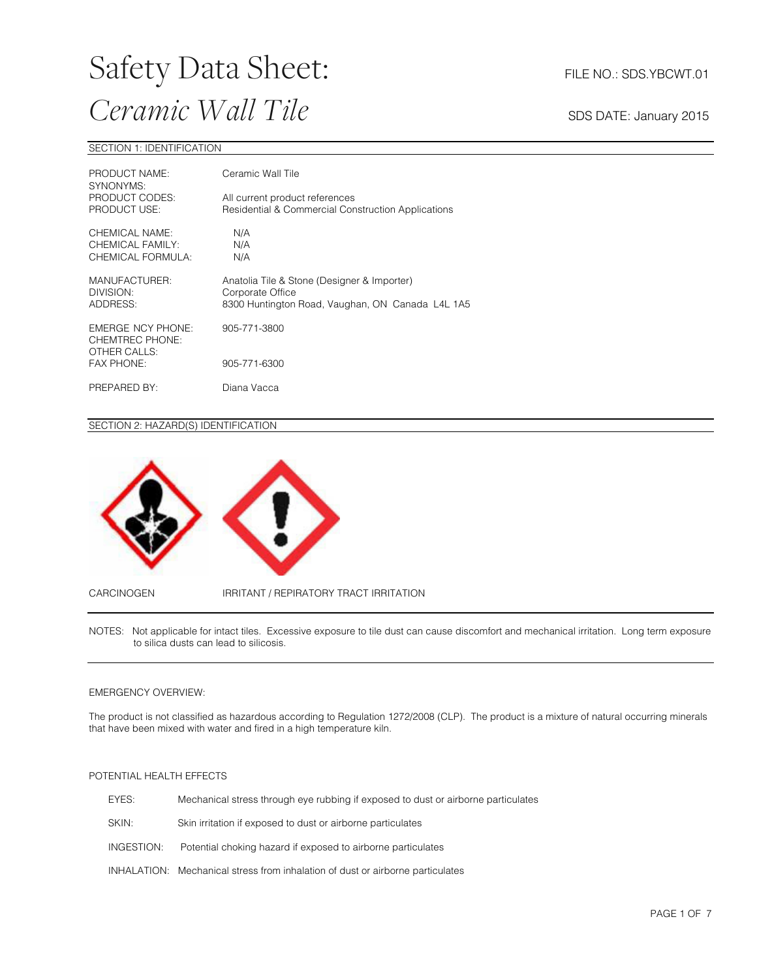#### SECTION 1: IDENTIFICATION

| PRODUCT NAME:<br>SYNONYMS:                              | Ceramic Wall Tile                                                                                                   |  |
|---------------------------------------------------------|---------------------------------------------------------------------------------------------------------------------|--|
| PRODUCT CODES:<br>PRODUCT USE:                          | All current product references<br>Residential & Commercial Construction Applications                                |  |
| CHEMICAL NAME:<br>CHEMICAL FAMILY:<br>CHEMICAL FORMULA: | N/A<br>N/A<br>N/A                                                                                                   |  |
| MANUFACTURER:<br>DIVISION:<br>ADDRESS:                  | Anatolia Tile & Stone (Designer & Importer)<br>Corporate Office<br>8300 Huntington Road, Vaughan, ON Canada L4L 1A5 |  |
| EMERGE NCY PHONE:<br>CHEMTREC PHONE:<br>OTHER CALLS:    | 905-771-3800                                                                                                        |  |
| <b>FAX PHONE:</b>                                       | 905-771-6300                                                                                                        |  |
| PREPARED BY:                                            | Diana Vacca                                                                                                         |  |

#### SECTION 2: HAZARD(S) IDENTIFICATION



NOTES: Not applicable for intact tiles. Excessive exposure to tile dust can cause discomfort and mechanical irritation. Long term exposure to silica dusts can lead to silicosis.

#### EMERGENCY OVERVIEW:

The product is not classified as hazardous according to Regulation 1272/2008 (CLP). The product is a mixture of natural occurring minerals that have been mixed with water and fired in a high temperature kiln.

#### POTENTIAL HEALTH EFFECTS

| EYES:      | Mechanical stress through eye rubbing if exposed to dust or airborne particulates |
|------------|-----------------------------------------------------------------------------------|
| SKIN:      | Skin irritation if exposed to dust or airborne particulates                       |
| INGESTION: | Potential choking hazard if exposed to airborne particulates                      |
|            | INHALATION: Mechanical stress from inhalation of dust or airborne particulates    |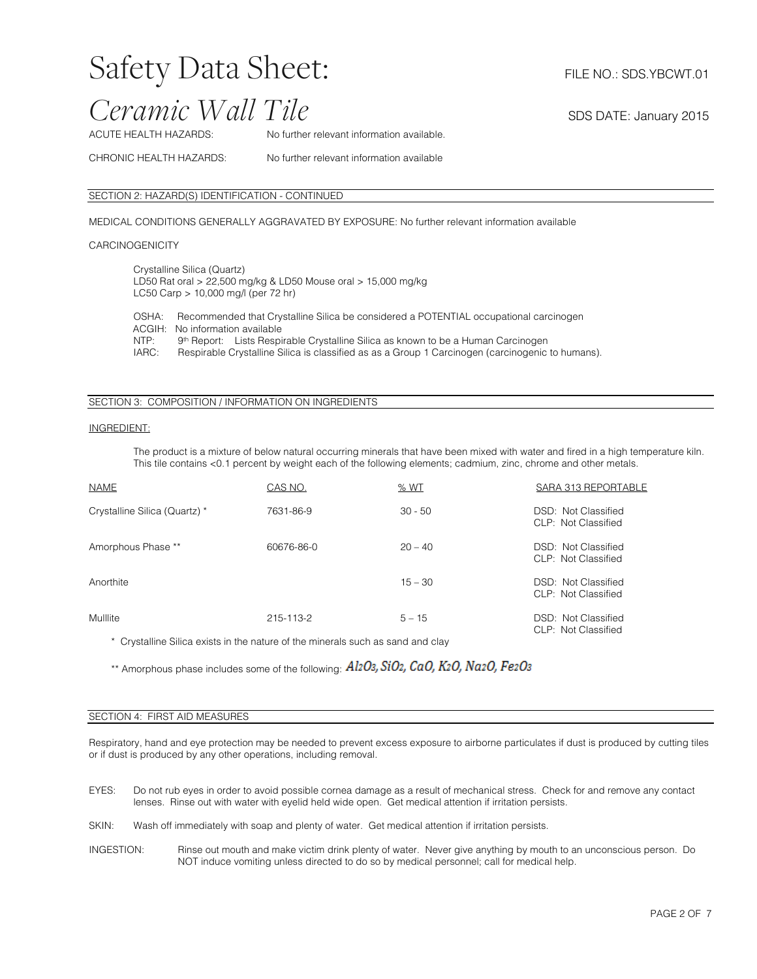# Safety Data Sheet: FILE NO.: SDS.YBCWT.01

### *Ceramic Wall Tile* SDS DATE: January 2015

ACUTE HEALTH HAZARDS: No further relevant information available.

CHRONIC HEALTH HAZARDS: No further relevant information available

#### SECTION 2: HAZARD(S) IDENTIFICATION - CONTINUED

MEDICAL CONDITIONS GENERALLY AGGRAVATED BY EXPOSURE: No further relevant information available

#### **CARCINOGENICITY**

Crystalline Silica (Quartz) LD50 Rat oral > 22,500 mg/kg & LD50 Mouse oral > 15,000 mg/kg LC50 Carp > 10,000 mg/l (per 72 hr)

OSHA: Recommended that Crystalline Silica be considered a POTENTIAL occupational carcinogen ACGIH: No information available<br>NTP: 9<sup>th</sup> Report: Lists Respi NTP: 9<sup>th</sup> Report: Lists Respirable Crystalline Silica as known to be a Human Carcinogen<br>IARC: Respirable Crystalline Silica is classified as as a Group 1 Carcinogen (carcinogenic Respirable Crystalline Silica is classified as as a Group 1 Carcinogen (carcinogenic to humans).

#### SECTION 3: COMPOSITION / INFORMATION ON INGREDIENTS

#### INGREDIENT:

The product is a mixture of below natural occurring minerals that have been mixed with water and fired in a high temperature kiln. This tile contains <0.1 percent by weight each of the following elements; cadmium, zinc, chrome and other metals.

| <b>NAME</b>                   | CAS NO.    | <u>% WT</u> | SARA 313 REPORTABLE                        |
|-------------------------------|------------|-------------|--------------------------------------------|
| Crystalline Silica (Quartz) * | 7631-86-9  | $30 - 50$   | DSD: Not Classified<br>CLP: Not Classified |
| Amorphous Phase **            | 60676-86-0 | $20 - 40$   | DSD: Not Classified<br>CLP: Not Classified |
| Anorthite                     |            | $15 - 30$   | DSD: Not Classified<br>CLP: Not Classified |
| Mulllite                      | 215-113-2  | $5 - 15$    | DSD: Not Classified<br>CLP: Not Classified |

\* Crystalline Silica exists in the nature of the minerals such as sand and clay

\*\* Amorphous phase includes some of the following: Al2O3, SiO2, CaO, K2O, Na2O, Fe2O3

#### SECTION 4: FIRST AID MEASURES

Respiratory, hand and eye protection may be needed to prevent excess exposure to airborne particulates if dust is produced by cutting tiles or if dust is produced by any other operations, including removal.

- EYES: Do not rub eyes in order to avoid possible cornea damage as a result of mechanical stress. Check for and remove any contact lenses. Rinse out with water with eyelid held wide open. Get medical attention if irritation persists.
- SKIN: Wash off immediately with soap and plenty of water. Get medical attention if irritation persists.
- INGESTION: Rinse out mouth and make victim drink plenty of water. Never give anything by mouth to an unconscious person. Do NOT induce vomiting unless directed to do so by medical personnel; call for medical help.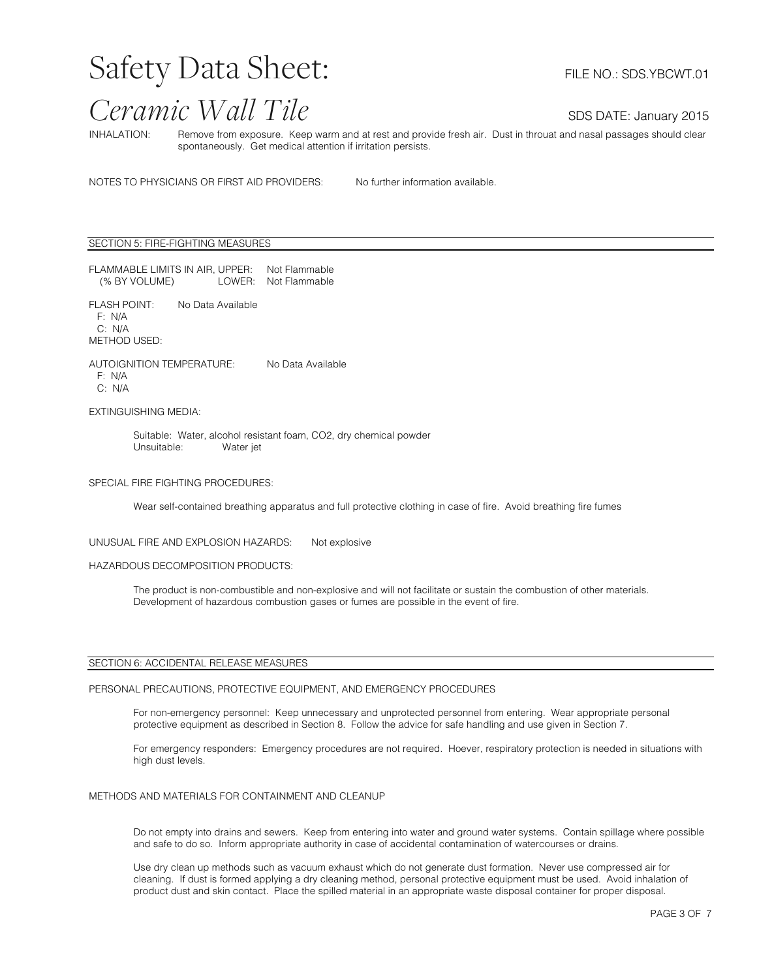INHALATION: Remove from exposure. Keep warm and at rest and provide fresh air. Dust in throuat and nasal passages should clear spontaneously. Get medical attention if irritation persists.

NOTES TO PHYSICIANS OR FIRST AID PROVIDERS: No further information available.

SECTION 5: FIRE-FIGHTING MEASURES

FLAMMABLE LIMITS IN AIR, UPPER: Not Flammable<br>(% BY VOLUME) LOWER: Not Flammable (% BY VOLUME)

FLASH POINT: No Data Available F: N/A C: N/A METHOD USED:

AUTOIGNITION TEMPERATURE: No Data Available F: N/A C: N/A

EXTINGUISHING MEDIA:

Suitable: Water, alcohol resistant foam, CO2, dry chemical powder<br>Unsuitable: Water iet Water jet

#### SPECIAL FIRE FIGHTING PROCEDURES:

Wear self-contained breathing apparatus and full protective clothing in case of fire. Avoid breathing fire fumes

UNUSUAL FIRE AND EXPLOSION HAZARDS: Not explosive

#### HAZARDOUS DECOMPOSITION PRODUCTS:

The product is non-combustible and non-explosive and will not facilitate or sustain the combustion of other materials. Development of hazardous combustion gases or fumes are possible in the event of fire.

#### SECTION 6: ACCIDENTAL RELEASE MEASURES

#### PERSONAL PRECAUTIONS, PROTECTIVE EQUIPMENT, AND EMERGENCY PROCEDURES

For non-emergency personnel: Keep unnecessary and unprotected personnel from entering. Wear appropriate personal protective equipment as described in Section 8. Follow the advice for safe handling and use given in Section 7.

For emergency responders: Emergency procedures are not required. Hoever, respiratory protection is needed in situations with high dust levels.

#### METHODS AND MATERIALS FOR CONTAINMENT AND CLEANUP

Do not empty into drains and sewers. Keep from entering into water and ground water systems. Contain spillage where possible and safe to do so. Inform appropriate authority in case of accidental contamination of watercourses or drains.

Use dry clean up methods such as vacuum exhaust which do not generate dust formation. Never use compressed air for cleaning. If dust is formed applying a dry cleaning method, personal protective equipment must be used. Avoid inhalation of product dust and skin contact. Place the spilled material in an appropriate waste disposal container for proper disposal.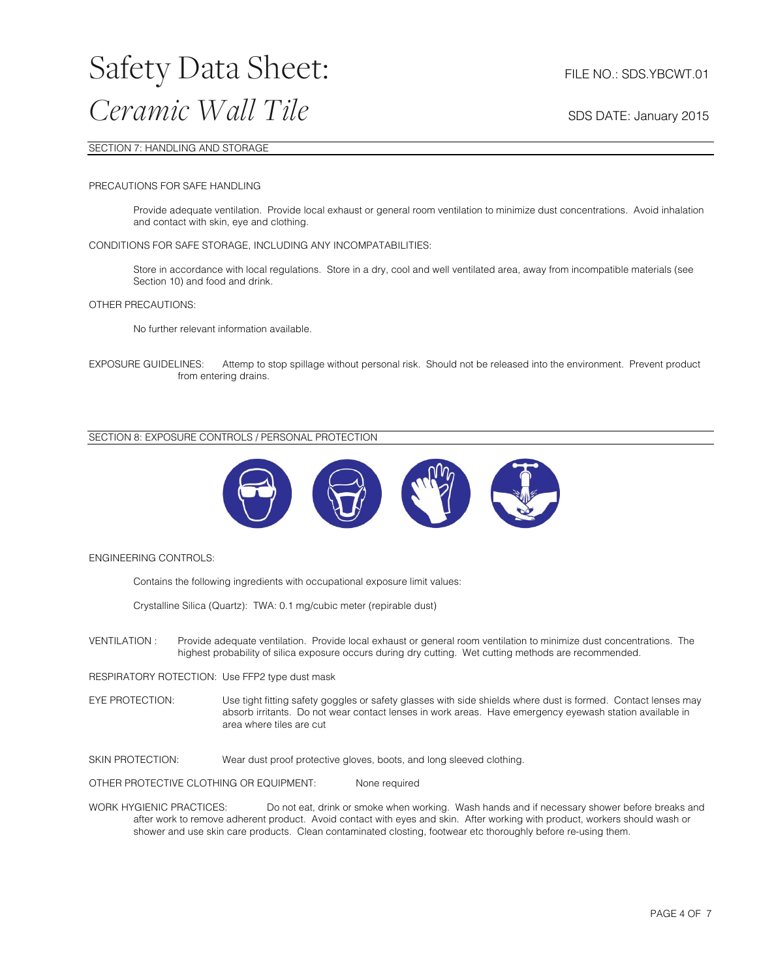#### SECTION 7: HANDLING AND STORAGE

#### PRECAUTIONS FOR SAFE HANDLING

Provide adequate ventilation. Provide local exhaust or general room ventilation to minimize dust concentrations. Avoid inhalation and contact with skin, eye and clothing.

#### CONDITIONS FOR SAFE STORAGE, INCLUDING ANY INCOMPATABILITIES:

Store in accordance with local regulations. Store in a dry, cool and well ventilated area, away from incompatible materials (see Section 10) and food and drink.

#### OTHER PRECAUTIONS:

No further relevant information available.

EXPOSURE GUIDELINES: Attemp to stop spillage without personal risk. Should not be released into the environment. Prevent product from entering drains.

#### SECTION 8: EXPOSURE CONTROLS / PERSONAL PROTECTION



#### ENGINEERING CONTROLS:

Contains the following ingredients with occupational exposure limit values:

Crystalline Silica (Quartz): TWA: 0.1 mg/cubic meter (repirable dust)

VENTILATION : Provide adequate ventilation. Provide local exhaust or general room ventilation to minimize dust concentrations. The highest probability of silica exposure occurs during dry cutting. Wet cutting methods are recommended.

RESPIRATORY ROTECTION: Use FFP2 type dust mask

EYE PROTECTION: Use tight fitting safety goggles or safety glasses with side shields where dust is formed. Contact lenses may absorb irritants. Do not wear contact lenses in work areas. Have emergency eyewash station available in area where tiles are cut

SKIN PROTECTION: Wear dust proof protective gloves, boots, and long sleeved clothing.

OTHER PROTECTIVE CLOTHING OR EQUIPMENT: None required

WORK HYGIENIC PRACTICES: Do not eat, drink or smoke when working. Wash hands and if necessary shower before breaks and after work to remove adherent product. Avoid contact with eyes and skin. After working with product, workers should wash or shower and use skin care products. Clean contaminated closting, footwear etc thoroughly before re-using them.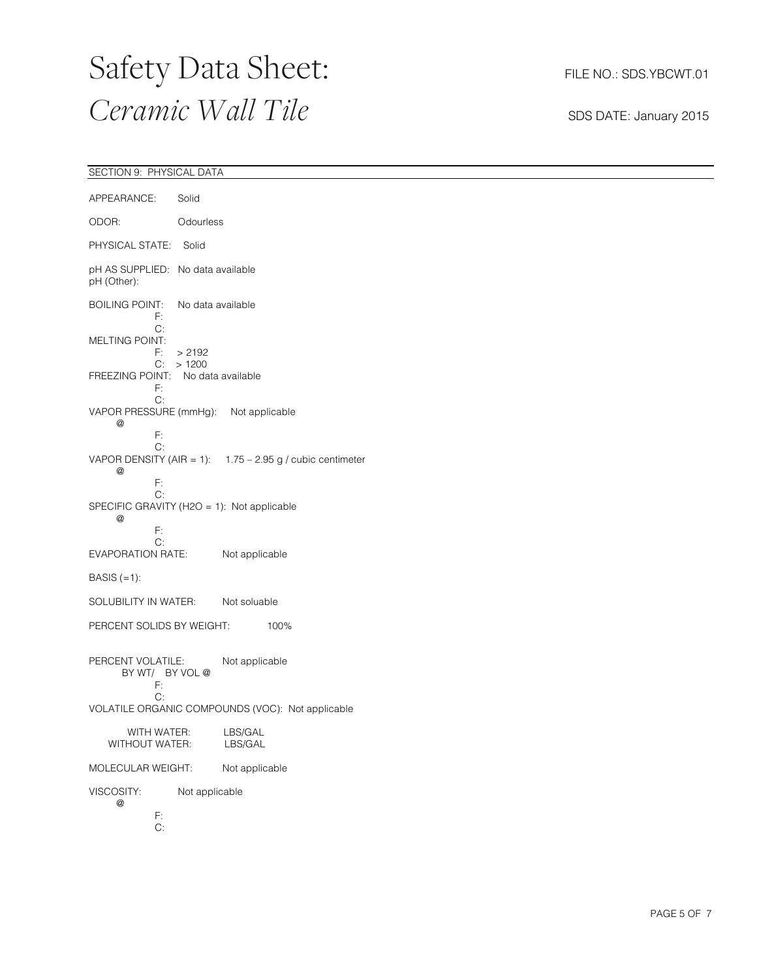| SECTION 9: PHYSICAL DATA                                                                                               |  |  |  |
|------------------------------------------------------------------------------------------------------------------------|--|--|--|
| APPEARANCE:<br>Solid                                                                                                   |  |  |  |
| ODOR:<br>Odourless                                                                                                     |  |  |  |
| PHYSICAL STATE: Solid                                                                                                  |  |  |  |
| pH AS SUPPLIED: No data available<br>pH (Other):                                                                       |  |  |  |
| No data available<br><b>BOILING POINT:</b><br>F:                                                                       |  |  |  |
| C:<br>MELTING POINT:<br>F:<br>> 2192                                                                                   |  |  |  |
| C: > 1200<br>FREEZING POINT: No data available<br>F:<br>C:                                                             |  |  |  |
| VAPOR PRESSURE (mmHg): Not applicable<br>@                                                                             |  |  |  |
| F:<br>C:<br>VAPOR DENSITY (AIR = 1): $1.75 - 2.95$ g / cubic centimeter<br>$^\text{\textregistered}$<br>$\mathsf{F}$ : |  |  |  |
| C:<br>SPECIFIC GRAVITY (H2O = 1): Not applicable<br>@<br>$\mathsf{F}$ :                                                |  |  |  |
| C:<br>Not applicable<br><b>EVAPORATION RATE:</b>                                                                       |  |  |  |
| BASIS $(=1)$ :                                                                                                         |  |  |  |
| SOLUBILITY IN WATER:<br>Not soluable                                                                                   |  |  |  |
| PERCENT SOLIDS BY WEIGHT:<br>100%                                                                                      |  |  |  |
| PERCENT VOLATILE:<br>Not applicable<br>BY WT/ BY VOL @<br>F:                                                           |  |  |  |
| C:<br>VOLATILE ORGANIC COMPOUNDS (VOC): Not applicable                                                                 |  |  |  |
| LBS/GAL<br>WITH WATER:<br>WITHOUT WATER:<br>LBS/GAL                                                                    |  |  |  |
| MOLECULAR WEIGHT:<br>Not applicable                                                                                    |  |  |  |
| VISCOSITY:<br>Not applicable<br>$^\circledR$                                                                           |  |  |  |
| F:<br>C:                                                                                                               |  |  |  |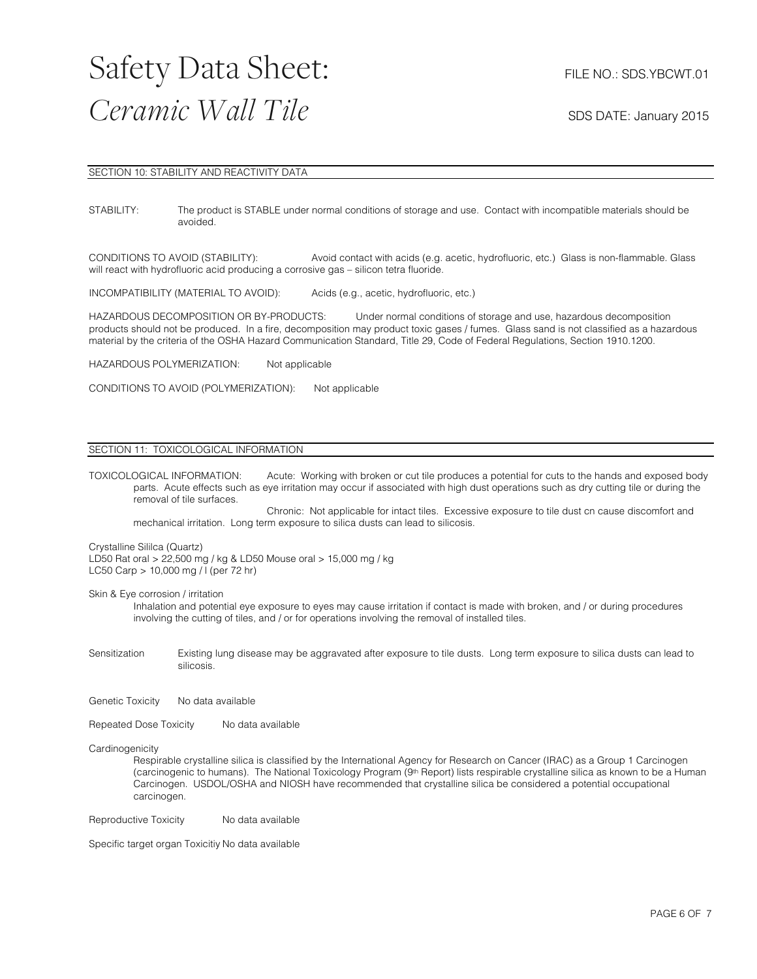#### SECTION 10: STABILITY AND REACTIVITY DATA

STABILITY: The product is STABLE under normal conditions of storage and use. Contact with incompatible materials should be avoided.

CONDITIONS TO AVOID (STABILITY): Avoid contact with acids (e.g. acetic, hydrofluoric, etc.) Glass is non-flammable. Glass will react with hydrofluoric acid producing a corrosive gas – silicon tetra fluoride.

INCOMPATIBILITY (MATERIAL TO AVOID): Acids (e.g., acetic, hydrofluoric, etc.)

HAZARDOUS DECOMPOSITION OR BY-PRODUCTS: Under normal conditions of storage and use, hazardous decomposition products should not be produced. In a fire, decomposition may product toxic gases / fumes. Glass sand is not classified as a hazardous material by the criteria of the OSHA Hazard Communication Standard, Title 29, Code of Federal Regulations, Section 1910.1200.

HAZARDOUS POLYMERIZATION: Not applicable

CONDITIONS TO AVOID (POLYMERIZATION): Not applicable

#### SECTION 11: TOXICOLOGICAL INFORMATION

TOXICOLOGICAL INFORMATION: Acute: Working with broken or cut tile produces a potential for cuts to the hands and exposed body parts. Acute effects such as eye irritation may occur if associated with high dust operations such as dry cutting tile or during the removal of tile surfaces.

Chronic: Not applicable for intact tiles. Excessive exposure to tile dust cn cause discomfort and mechanical irritation. Long term exposure to silica dusts can lead to silicosis.

#### Crystalline Sililca (Quartz)

LD50 Rat oral > 22,500 mg / kg & LD50 Mouse oral > 15,000 mg / kg LC50 Carp > 10,000 mg / l (per 72 hr)

Skin & Eye corrosion / irritation

Inhalation and potential eye exposure to eyes may cause irritation if contact is made with broken, and / or during procedures involving the cutting of tiles, and / or for operations involving the removal of installed tiles.

Sensitization Existing lung disease may be aggravated after exposure to tile dusts. Long term exposure to silica dusts can lead to silicosis.

Genetic Toxicity No data available

Repeated Dose Toxicity No data available

#### Cardinogenicity

Respirable crystalline silica is classified by the International Agency for Research on Cancer (IRAC) as a Group 1 Carcinogen (carcinogenic to humans). The National Toxicology Program (9th Report) lists respirable crystalline silica as known to be a Human Carcinogen. USDOL/OSHA and NIOSH have recommended that crystalline silica be considered a potential occupational carcinogen.

Reproductive Toxicity No data available

Specific target organ Toxicitiy No data available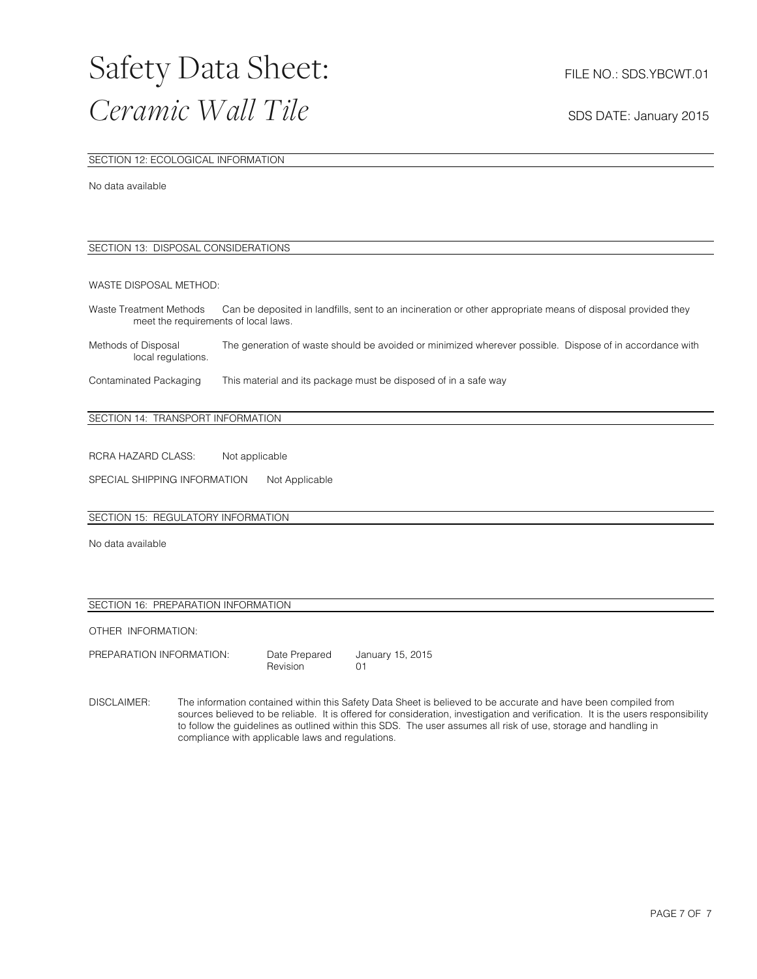#### SECTION 12: ECOLOGICAL INFORMATION

No data available

#### SECTION 13: DISPOSAL CONSIDERATIONS

#### WASTE DISPOSAL METHOD:

Waste Treatment Methods Can be deposited in landfills, sent to an incineration or other appropriate means of disposal provided they meet the requirements of local laws.

Methods of Disposal The generation of waste should be avoided or minimized wherever possible. Dispose of in accordance with local regulations.

Contaminated Packaging This material and its package must be disposed of in a safe way

#### SECTION 14: TRANSPORT INFORMATION

RCRA HAZARD CLASS: Not applicable

SPECIAL SHIPPING INFORMATION Not Applicable

#### SECTION 15: REGULATORY INFORMATION

No data available

#### SECTION 16: PREPARATION INFORMATION

OTHER INFORMATION:

| PREPARATION INFORMATION: |
|--------------------------|
|                          |

Date Prepared January 15, 2015<br>
Revision 01 Revision

DISCLAIMER: The information contained within this Safety Data Sheet is believed to be accurate and have been compiled from sources believed to be reliable. It is offered for consideration, investigation and verification. It is the users responsibility to follow the guidelines as outlined within this SDS. The user assumes all risk of use, storage and handling in compliance with applicable laws and regulations.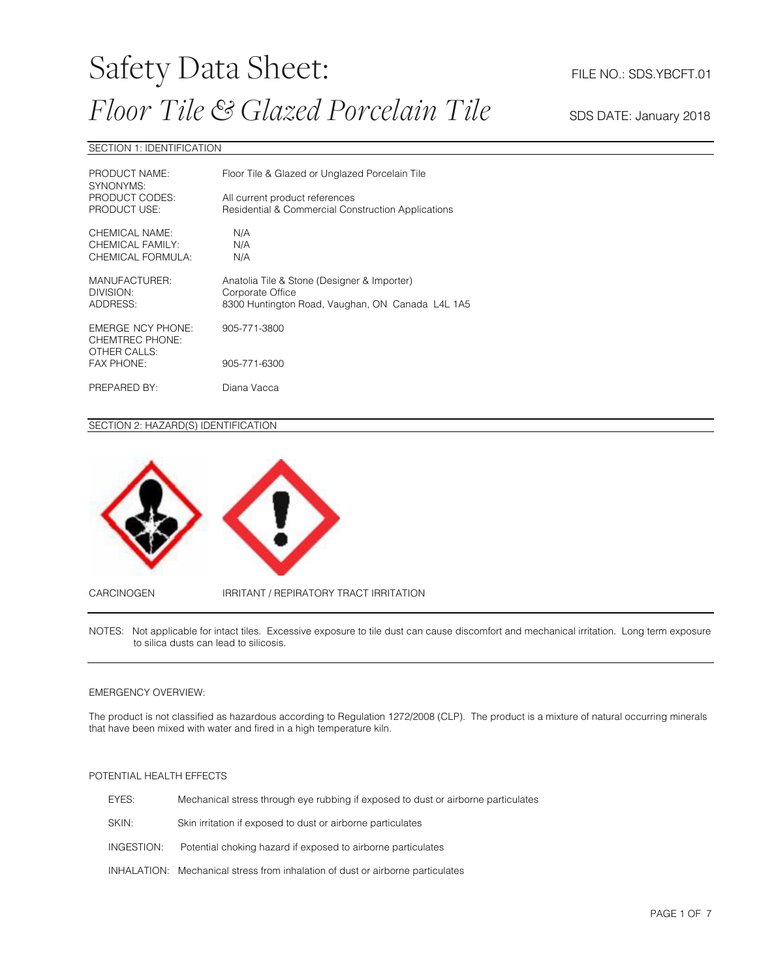### Safety Data Sheet: FILE NO.: SDS.YBCFT.01 *Floor Tile* & *Glazed Porcelain Tile* SDS DATE: January 2018

#### SECTION 1: IDENTIFICATION

| PRODUCT NAME:<br>SYNONYMS:                              | Floor Tile & Glazed or Unglazed Porcelain Tile                                                                      |  |
|---------------------------------------------------------|---------------------------------------------------------------------------------------------------------------------|--|
| PRODUCT CODES:<br>PRODUCT USE:                          | All current product references<br><b>Residential &amp; Commercial Construction Applications</b>                     |  |
| CHEMICAL NAME:<br>CHEMICAL FAMILY:<br>CHEMICAL FORMULA: | N/A<br>N/A<br>N/A                                                                                                   |  |
| MANUFACTURER:<br>DIVISION:<br>ADDRESS:                  | Anatolia Tile & Stone (Designer & Importer)<br>Corporate Office<br>8300 Huntington Road, Vaughan, ON Canada L4L 1A5 |  |
| EMERGE NCY PHONE:<br>CHEMTREC PHONE:<br>OTHER CALLS:    | 905-771-3800                                                                                                        |  |
| <b>FAX PHONE:</b>                                       | 905-771-6300                                                                                                        |  |
| PREPARED BY:                                            | Diana Vacca                                                                                                         |  |

#### SECTION 2: HAZARD(S) IDENTIFICATION



NOTES: Not applicable for intact tiles. Excessive exposure to tile dust can cause discomfort and mechanical irritation. Long term exposure to silica dusts can lead to silicosis.

#### EMERGENCY OVERVIEW:

The product is not classified as hazardous according to Regulation 1272/2008 (CLP). The product is a mixture of natural occurring minerals that have been mixed with water and fired in a high temperature kiln.

#### POTENTIAL HEALTH EFFECTS

| EYES:      | Mechanical stress through eye rubbing if exposed to dust or airborne particulates |
|------------|-----------------------------------------------------------------------------------|
| SKIN:      | Skin irritation if exposed to dust or airborne particulates                       |
| INGESTION: | Potential choking hazard if exposed to airborne particulates                      |
|            | INHALATION: Mechanical stress from inhalation of dust or airborne particulates    |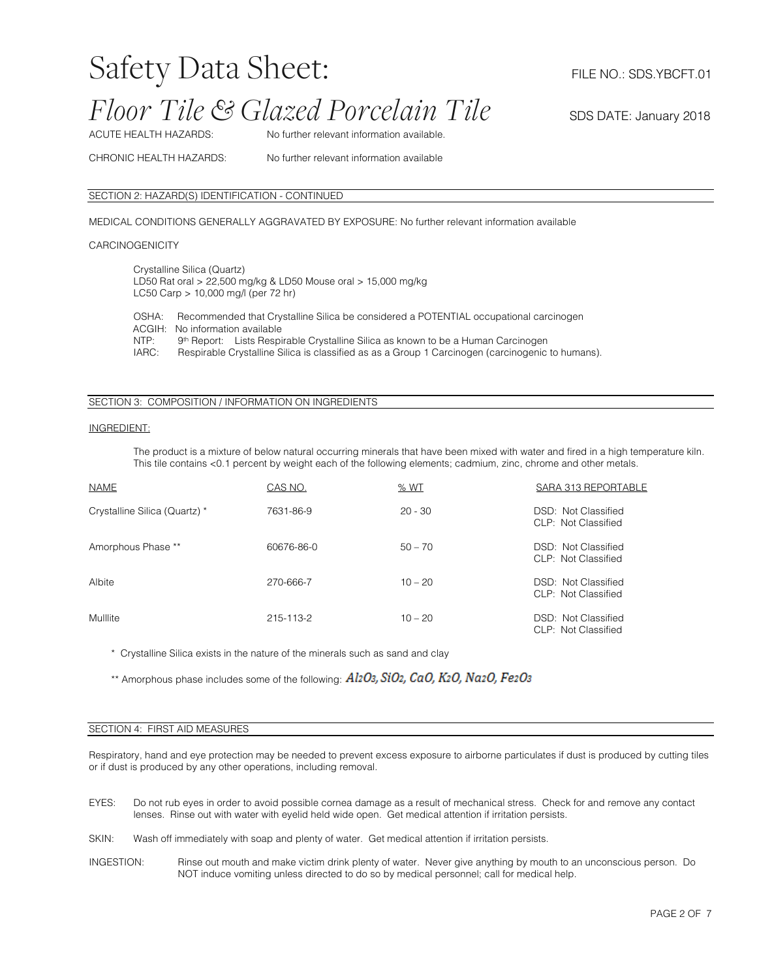### Safety Data Sheet: FILE NO.: SDS.YBCFT.01

### *Floor Tile* & *Glazed Porcelain Tile* SDS DATE: January 2018

ACUTE HEALTH HAZARDS: No further relevant information available.

CHRONIC HEALTH HAZARDS: No further relevant information available

#### SECTION 2: HAZARD(S) IDENTIFICATION - CONTINUED

MEDICAL CONDITIONS GENERALLY AGGRAVATED BY EXPOSURE: No further relevant information available

#### **CARCINOGENICITY**

Crystalline Silica (Quartz) LD50 Rat oral > 22,500 mg/kg & LD50 Mouse oral > 15,000 mg/kg LC50 Carp > 10,000 mg/l (per 72 hr)

OSHA: Recommended that Crystalline Silica be considered a POTENTIAL occupational carcinogen ACGIH: No information available<br>NTP: 9<sup>th</sup> Report: Lists Respi NTP: 9<sup>th</sup> Report: Lists Respirable Crystalline Silica as known to be a Human Carcinogen<br>IARC: Respirable Crystalline Silica is classified as as a Group 1 Carcinogen (carcinogenic Respirable Crystalline Silica is classified as as a Group 1 Carcinogen (carcinogenic to humans).

#### SECTION 3: COMPOSITION / INFORMATION ON INGREDIENTS

#### INGREDIENT:

The product is a mixture of below natural occurring minerals that have been mixed with water and fired in a high temperature kiln. This tile contains <0.1 percent by weight each of the following elements; cadmium, zinc, chrome and other metals.

| <b>NAME</b>                   | CAS NO.    | % WT      | SARA 313 REPORTABLE                        |
|-------------------------------|------------|-----------|--------------------------------------------|
| Crystalline Silica (Quartz) * | 7631-86-9  | $20 - 30$ | DSD: Not Classified<br>CLP: Not Classified |
| Amorphous Phase **            | 60676-86-0 | $50 - 70$ | DSD: Not Classified<br>CLP: Not Classified |
| Albite                        | 270-666-7  | $10 - 20$ | DSD: Not Classified<br>CLP: Not Classified |
| Mulllite                      | 215-113-2  | $10 - 20$ | DSD: Not Classified<br>CLP: Not Classified |

\* Crystalline Silica exists in the nature of the minerals such as sand and clay

\*\* Amorphous phase includes some of the following: Al2O3, SiO2, CaO, K2O, Na2O, Fe2O3

#### SECTION 4: FIRST AID MEASURES

Respiratory, hand and eye protection may be needed to prevent excess exposure to airborne particulates if dust is produced by cutting tiles or if dust is produced by any other operations, including removal.

- EYES: Do not rub eyes in order to avoid possible cornea damage as a result of mechanical stress. Check for and remove any contact lenses. Rinse out with water with eyelid held wide open. Get medical attention if irritation persists.
- SKIN: Wash off immediately with soap and plenty of water. Get medical attention if irritation persists.
- INGESTION: Rinse out mouth and make victim drink plenty of water. Never give anything by mouth to an unconscious person. Do NOT induce vomiting unless directed to do so by medical personnel; call for medical help.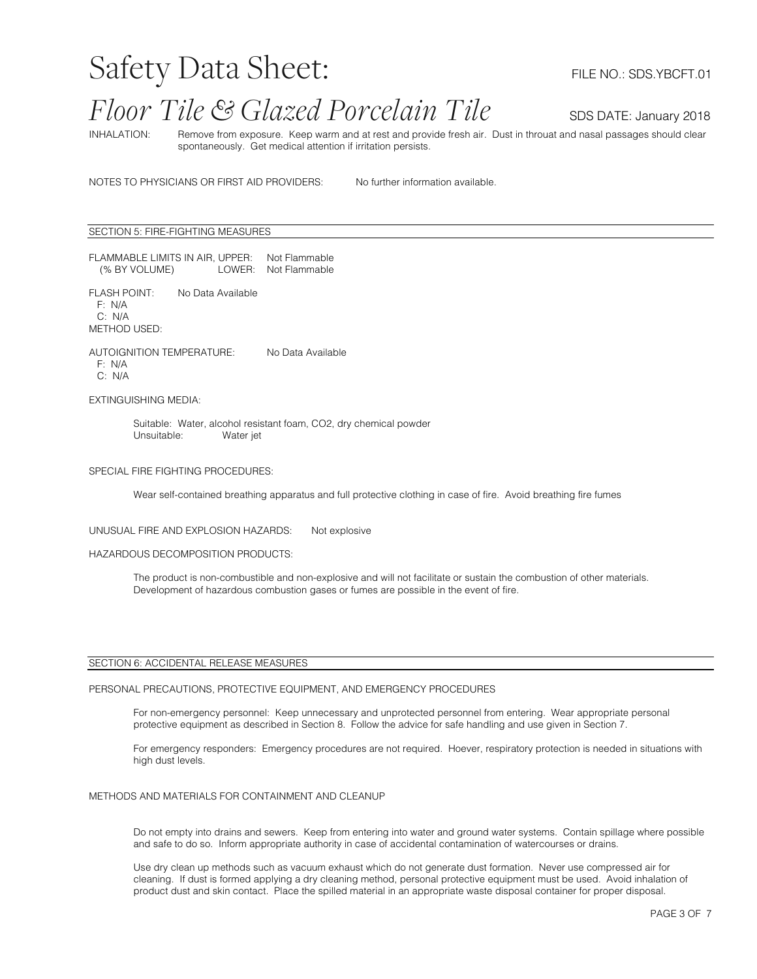### Safety Data Sheet: FILE NO.: SDS.YBCFT.01

### *Floor Tile* & *Glazed Porcelain Tile* SDS DATE: January 2018

INHALATION: Remove from exposure. Keep warm and at rest and provide fresh air. Dust in throuat and nasal passages should clear spontaneously. Get medical attention if irritation persists.

NOTES TO PHYSICIANS OR FIRST AID PROVIDERS: No further information available.

#### SECTION 5: FIRE-FIGHTING MEASURES

FLAMMABLE LIMITS IN AIR, UPPER: Not Flammable LOWER: Not Flammable

FLASH POINT: No Data Available F: N/A C: N/A METHOD USED:

AUTOIGNITION TEMPERATURE: No Data Available F: N/A C: N/A

EXTINGUISHING MEDIA:

Suitable: Water, alcohol resistant foam, CO2, dry chemical powder Unsuitable: Water jet

#### SPECIAL FIRE FIGHTING PROCEDURES:

Wear self-contained breathing apparatus and full protective clothing in case of fire. Avoid breathing fire fumes

#### UNUSUAL FIRE AND EXPLOSION HAZARDS: Not explosive

#### HAZARDOUS DECOMPOSITION PRODUCTS:

The product is non-combustible and non-explosive and will not facilitate or sustain the combustion of other materials. Development of hazardous combustion gases or fumes are possible in the event of fire.

#### SECTION 6: ACCIDENTAL RELEASE MEASURES

#### PERSONAL PRECAUTIONS, PROTECTIVE EQUIPMENT, AND EMERGENCY PROCEDURES

For non-emergency personnel: Keep unnecessary and unprotected personnel from entering. Wear appropriate personal protective equipment as described in Section 8. Follow the advice for safe handling and use given in Section 7.

For emergency responders: Emergency procedures are not required. Hoever, respiratory protection is needed in situations with high dust levels.

#### METHODS AND MATERIALS FOR CONTAINMENT AND CLEANUP

Do not empty into drains and sewers. Keep from entering into water and ground water systems. Contain spillage where possible and safe to do so. Inform appropriate authority in case of accidental contamination of watercourses or drains.

Use dry clean up methods such as vacuum exhaust which do not generate dust formation. Never use compressed air for cleaning. If dust is formed applying a dry cleaning method, personal protective equipment must be used. Avoid inhalation of product dust and skin contact. Place the spilled material in an appropriate waste disposal container for proper disposal.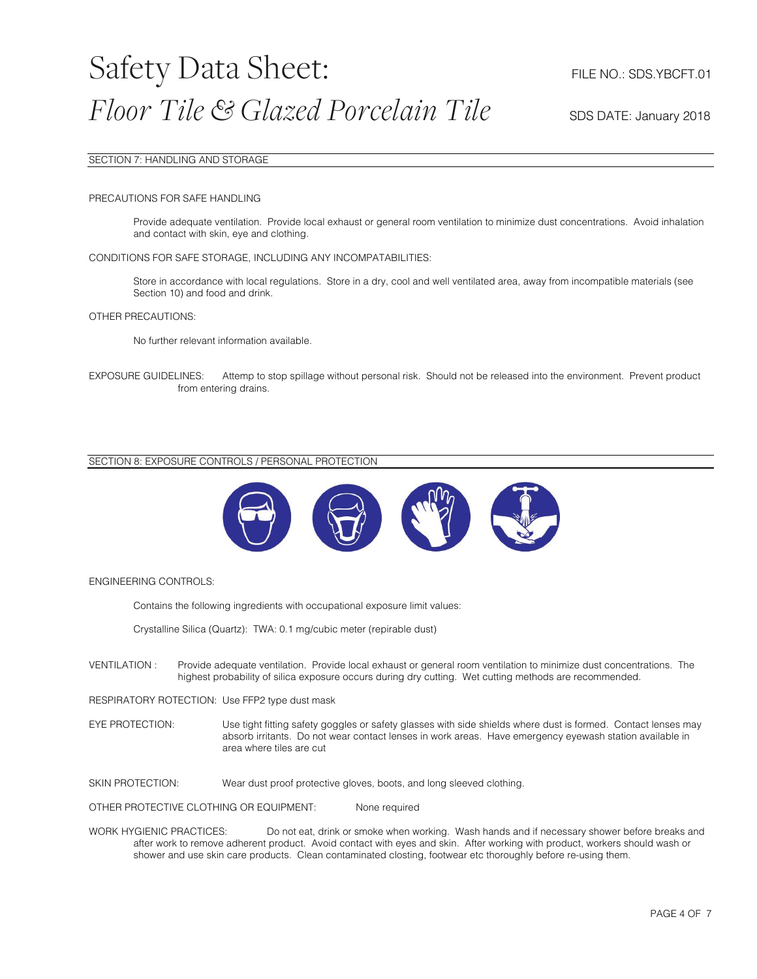#### SECTION 7: HANDLING AND STORAGE

#### PRECAUTIONS FOR SAFE HANDLING

Provide adequate ventilation. Provide local exhaust or general room ventilation to minimize dust concentrations. Avoid inhalation and contact with skin, eye and clothing.

#### CONDITIONS FOR SAFE STORAGE, INCLUDING ANY INCOMPATABILITIES:

Store in accordance with local regulations. Store in a dry, cool and well ventilated area, away from incompatible materials (see Section 10) and food and drink.

#### OTHER PRECAUTIONS:

No further relevant information available.

EXPOSURE GUIDELINES: Attemp to stop spillage without personal risk. Should not be released into the environment. Prevent product from entering drains.

#### SECTION 8: EXPOSURE CONTROLS / PERSONAL PROTECTION



#### ENGINEERING CONTROLS:

Contains the following ingredients with occupational exposure limit values:

Crystalline Silica (Quartz): TWA: 0.1 mg/cubic meter (repirable dust)

VENTILATION : Provide adequate ventilation. Provide local exhaust or general room ventilation to minimize dust concentrations. The highest probability of silica exposure occurs during dry cutting. Wet cutting methods are recommended.

RESPIRATORY ROTECTION: Use FFP2 type dust mask

EYE PROTECTION: Use tight fitting safety goggles or safety glasses with side shields where dust is formed. Contact lenses may absorb irritants. Do not wear contact lenses in work areas. Have emergency eyewash station available in area where tiles are cut

SKIN PROTECTION: Wear dust proof protective gloves, boots, and long sleeved clothing.

OTHER PROTECTIVE CLOTHING OR EQUIPMENT: None required

WORK HYGIENIC PRACTICES: Do not eat, drink or smoke when working. Wash hands and if necessary shower before breaks and after work to remove adherent product. Avoid contact with eyes and skin. After working with product, workers should wash or shower and use skin care products. Clean contaminated closting, footwear etc thoroughly before re-using them.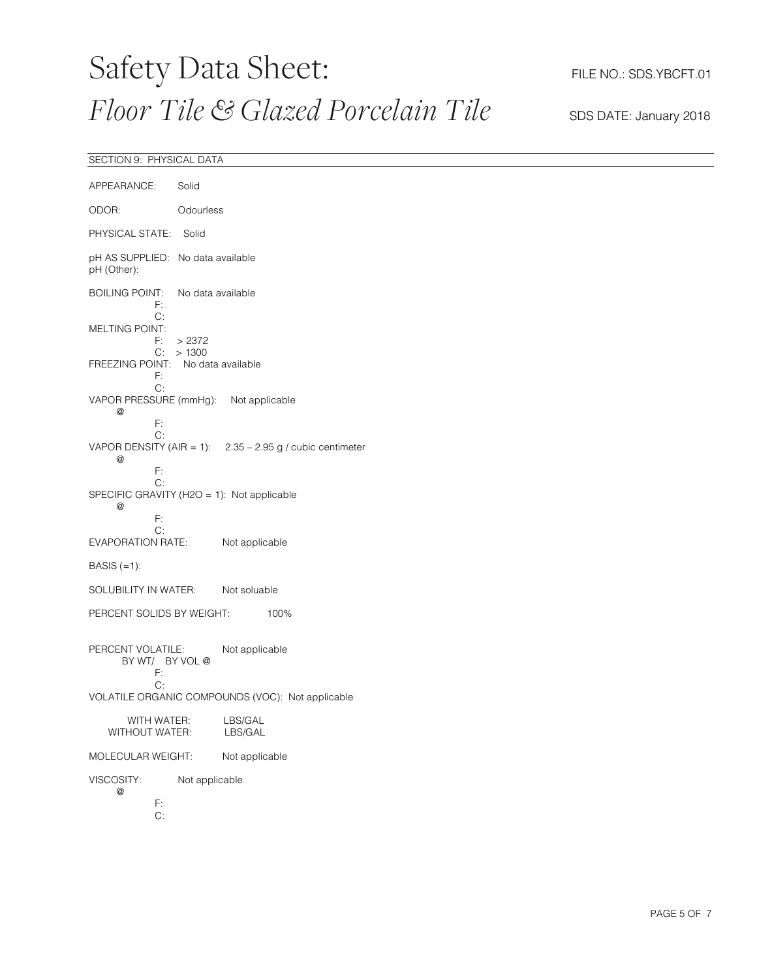## Safety Data Sheet: FILE NO.: SDS.YBCFT.01 *Floor Tile* & *Glazed Porcelain Tile* SDS DATE: January 2018

### SECTION 9: PHYSICAL DATA

| APPEARANCE:                                                                    | Solid             |                                                             |
|--------------------------------------------------------------------------------|-------------------|-------------------------------------------------------------|
| ODOR:                                                                          | Odourless         |                                                             |
| PHYSICAL STATE:                                                                | Solid             |                                                             |
| pH AS SUPPLIED: No data available<br>pH (Other):                               |                   |                                                             |
| <b>BOILING POINT:</b><br>F:<br>C:                                              | No data available |                                                             |
| <b>MELTING POINT:</b><br>F: .<br>C:                                            | >2372<br>>1300    |                                                             |
| FREEZING POINT: No data available<br>F:<br>C:                                  |                   |                                                             |
| VAPOR PRESSURE (mmHg): Not applicable<br>@                                     |                   |                                                             |
| F:<br>С:<br>@<br>F:                                                            |                   | VAPOR DENSITY (AIR = 1): $2.35 - 2.95$ g / cubic centimeter |
| C:<br>SPECIFIC GRAVITY (H2O = 1): Not applicable<br>$^{\textregistered}$<br>F: |                   |                                                             |
| C:<br>EVAPORATION RATE:                                                        |                   | Not applicable                                              |
| BASIS $(=1)$ :                                                                 |                   |                                                             |
| SOLUBILITY IN WATER:                                                           |                   | Not soluable                                                |
| PERCENT SOLIDS BY WEIGHT:                                                      |                   | 100%                                                        |
| PERCENT VOLATILE:<br>BY WT/ BY VOL @<br>F:                                     |                   | Not applicable                                              |
| C:                                                                             |                   | VOLATILE ORGANIC COMPOUNDS (VOC): Not applicable            |
| WITH WATER:<br>WITHOUT WATER:                                                  |                   | LBS/GAL<br>LBS/GAL                                          |
| MOLECULAR WEIGHT:                                                              |                   | Not applicable                                              |
| VISCOSITY:<br>@<br>F:<br>C:                                                    | Not applicable    |                                                             |
|                                                                                |                   |                                                             |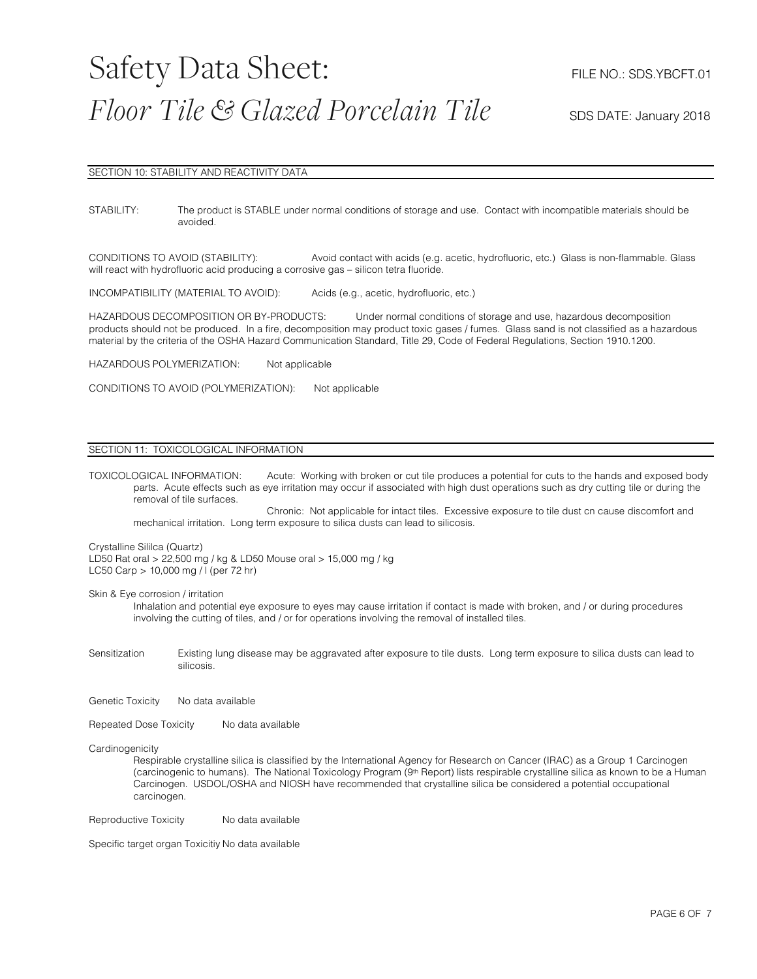#### SECTION 10: STABILITY AND REACTIVITY DATA

STABILITY: The product is STABLE under normal conditions of storage and use. Contact with incompatible materials should be avoided.

CONDITIONS TO AVOID (STABILITY): Avoid contact with acids (e.g. acetic, hydrofluoric, etc.) Glass is non-flammable. Glass will react with hydrofluoric acid producing a corrosive gas – silicon tetra fluoride.

INCOMPATIBILITY (MATERIAL TO AVOID): Acids (e.g., acetic, hydrofluoric, etc.)

HAZARDOUS DECOMPOSITION OR BY-PRODUCTS: Under normal conditions of storage and use, hazardous decomposition products should not be produced. In a fire, decomposition may product toxic gases / fumes. Glass sand is not classified as a hazardous material by the criteria of the OSHA Hazard Communication Standard, Title 29, Code of Federal Regulations, Section 1910.1200.

HAZARDOUS POLYMERIZATION: Not applicable

CONDITIONS TO AVOID (POLYMERIZATION): Not applicable

### SECTION 11: TOXICOLOGICAL INFORMATION

TOXICOLOGICAL INFORMATION: Acute: Working with broken or cut tile produces a potential for cuts to the hands and exposed body parts. Acute effects such as eye irritation may occur if associated with high dust operations such as dry cutting tile or during the removal of tile surfaces.

Chronic: Not applicable for intact tiles. Excessive exposure to tile dust cn cause discomfort and mechanical irritation. Long term exposure to silica dusts can lead to silicosis.

#### Crystalline Sililca (Quartz)

LD50 Rat oral > 22,500 mg / kg & LD50 Mouse oral > 15,000 mg / kg LC50 Carp > 10,000 mg / l (per 72 hr)

Skin & Eye corrosion / irritation

Inhalation and potential eye exposure to eyes may cause irritation if contact is made with broken, and / or during procedures involving the cutting of tiles, and / or for operations involving the removal of installed tiles.

Sensitization Existing lung disease may be aggravated after exposure to tile dusts. Long term exposure to silica dusts can lead to silicosis.

Genetic Toxicity No data available

Repeated Dose Toxicity No data available

#### **Cardinogenicity**

Respirable crystalline silica is classified by the International Agency for Research on Cancer (IRAC) as a Group 1 Carcinogen (carcinogenic to humans). The National Toxicology Program (9th Report) lists respirable crystalline silica as known to be a Human Carcinogen. USDOL/OSHA and NIOSH have recommended that crystalline silica be considered a potential occupational carcinogen.

Reproductive Toxicity No data available

Specific target organ Toxicitiy No data available